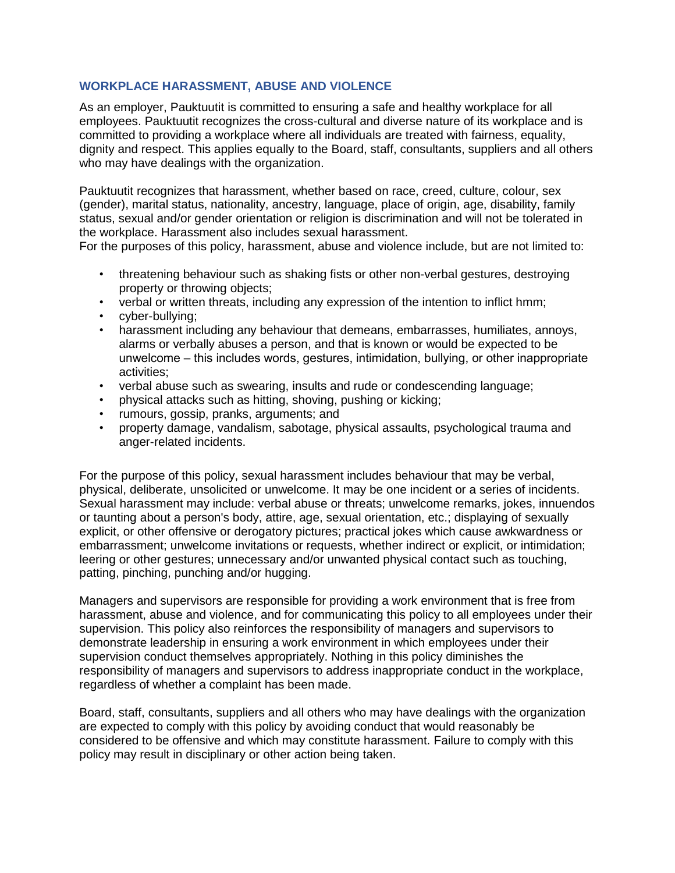## **WORKPLACE HARASSMENT, ABUSE AND VIOLENCE**

As an employer, Pauktuutit is committed to ensuring a safe and healthy workplace for all employees. Pauktuutit recognizes the cross-cultural and diverse nature of its workplace and is committed to providing a workplace where all individuals are treated with fairness, equality, dignity and respect. This applies equally to the Board, staff, consultants, suppliers and all others who may have dealings with the organization.

Pauktuutit recognizes that harassment, whether based on race, creed, culture, colour, sex (gender), marital status, nationality, ancestry, language, place of origin, age, disability, family status, sexual and/or gender orientation or religion is discrimination and will not be tolerated in the workplace. Harassment also includes sexual harassment.

For the purposes of this policy, harassment, abuse and violence include, but are not limited to:

- threatening behaviour such as shaking fists or other non-verbal gestures, destroying property or throwing objects;
- verbal or written threats, including any expression of the intention to inflict hmm;
- cyber-bullying;
- harassment including any behaviour that demeans, embarrasses, humiliates, annoys, alarms or verbally abuses a person, and that is known or would be expected to be unwelcome ‒ this includes words, gestures, intimidation, bullying, or other inappropriate activities;
- verbal abuse such as swearing, insults and rude or condescending language;
- physical attacks such as hitting, shoving, pushing or kicking;
- rumours, gossip, pranks, arguments; and
- property damage, vandalism, sabotage, physical assaults, psychological trauma and anger-related incidents.

For the purpose of this policy, sexual harassment includes behaviour that may be verbal, physical, deliberate, unsolicited or unwelcome. It may be one incident or a series of incidents. Sexual harassment may include: verbal abuse or threats; unwelcome remarks, jokes, innuendos or taunting about a person's body, attire, age, sexual orientation, etc.; displaying of sexually explicit, or other offensive or derogatory pictures; practical jokes which cause awkwardness or embarrassment; unwelcome invitations or requests, whether indirect or explicit, or intimidation; leering or other gestures; unnecessary and/or unwanted physical contact such as touching, patting, pinching, punching and/or hugging.

Managers and supervisors are responsible for providing a work environment that is free from harassment, abuse and violence, and for communicating this policy to all employees under their supervision. This policy also reinforces the responsibility of managers and supervisors to demonstrate leadership in ensuring a work environment in which employees under their supervision conduct themselves appropriately. Nothing in this policy diminishes the responsibility of managers and supervisors to address inappropriate conduct in the workplace, regardless of whether a complaint has been made.

Board, staff, consultants, suppliers and all others who may have dealings with the organization are expected to comply with this policy by avoiding conduct that would reasonably be considered to be offensive and which may constitute harassment. Failure to comply with this policy may result in disciplinary or other action being taken.